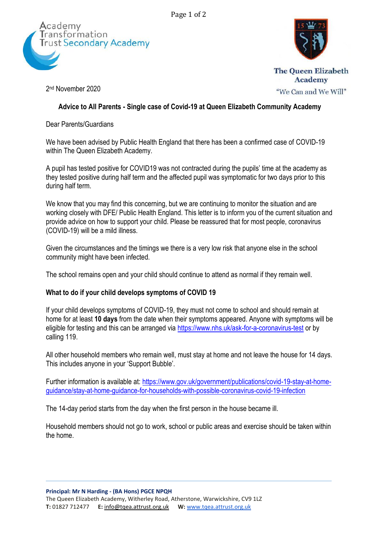Page 1 of 2





2 nd November 2020

**Academy** "We Can and We Will"

# **Advice to All Parents - Single case of Covid-19 at Queen Elizabeth Community Academy**

Dear Parents/Guardians

We have been advised by Public Health England that there has been a confirmed case of COVID-19 within The Queen Elizabeth Academy.

A pupil has tested positive for COVID19 was not contracted during the pupils' time at the academy as they tested positive during half term and the affected pupil was symptomatic for two days prior to this during half term.

We know that you may find this concerning, but we are continuing to monitor the situation and are working closely with DFE/ Public Health England. This letter is to inform you of the current situation and provide advice on how to support your child. Please be reassured that for most people, coronavirus (COVID-19) will be a mild illness.

Given the circumstances and the timings we there is a very low risk that anyone else in the school community might have been infected.

The school remains open and your child should continue to attend as normal if they remain well.

## **What to do if your child develops symptoms of COVID 19**

If your child develops symptoms of COVID-19, they must not come to school and should remain at home for at least **10 days** from the date when their symptoms appeared. Anyone with symptoms will be eligible for testing and this can be arranged via<https://www.nhs.uk/ask-for-a-coronavirus-test> or by calling 119.

All other household members who remain well, must stay at home and not leave the house for 14 days. This includes anyone in your 'Support Bubble'.

Further information is available at: [https://www.gov.uk/government/publications/covid-19-stay-at-home](https://www.gov.uk/government/publications/covid-19-stay-at-home-guidance/stay-at-home-guidance-for-households-with-possible-coronavirus-covid-19-infection)[guidance/stay-at-home-guidance-for-households-with-possible-coronavirus-covid-19-infection](https://www.gov.uk/government/publications/covid-19-stay-at-home-guidance/stay-at-home-guidance-for-households-with-possible-coronavirus-covid-19-infection)

The 14-day period starts from the day when the first person in the house became ill.

Household members should not go to work, school or public areas and exercise should be taken within the home.